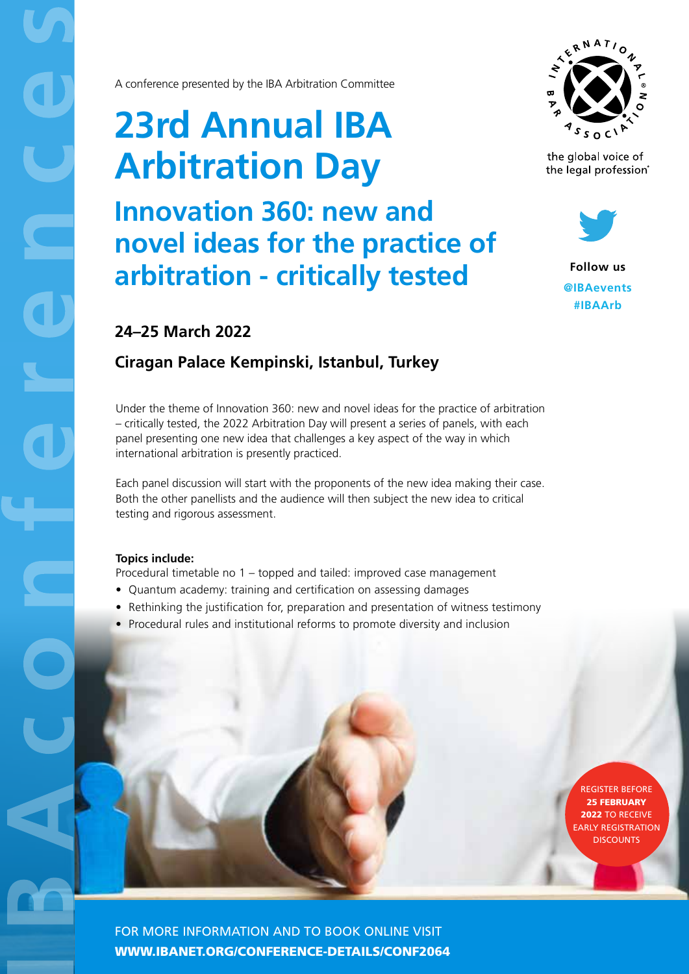A conference presented by the IBA Arbitration Committee

# **23rd Annual IBA Arbitration Day**

**Innovation 360: new and novel ideas for the practice of arbitration - critically tested**



the global voice of the legal profession®



**Follow us @IBAevents #IBAArb**

# **24–25 March 2022**

# **Ciragan Palace Kempinski, Istanbul, Turkey**

Under the theme of Innovation 360: new and novel ideas for the practice of arbitration – critically tested, the 2022 Arbitration Day will present a series of panels, with each panel presenting one new idea that challenges a key aspect of the way in which international arbitration is presently practiced.

Each panel discussion will start with the proponents of the new idea making their case. Both the other panellists and the audience will then subject the new idea to critical testing and rigorous assessment.

## **Topics include:**

Procedural timetable no 1 – topped and tailed: improved case management

- Quantum academy: training and certification on assessing damages
- Rethinking the justification for, preparation and presentation of witness testimony
- Procedural rules and institutional reforms to promote diversity and inclusion

REGISTER BEFORE 25 FEBRUARY 2022 TO RECEIVE **ARLY REGISTRATION DISCOUNTS** 

FOR MORE INFORMATION AND TO BOOK ONLINE VISIT [WWW.IBANET.ORG/CONFERENCE-DETAILS/CONF](https://www.ibanet.org/conference-details/CONF1051)2064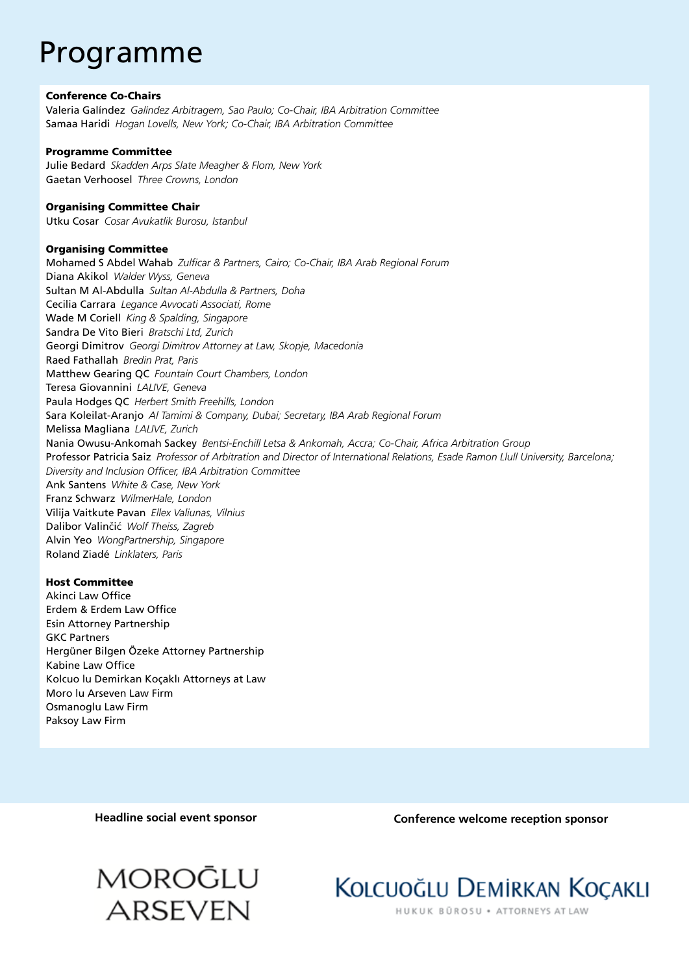# Programme

#### Conference Co-Chairs

Valeria Galíndez *Galíndez Arbitragem, Sao Paulo; Co-Chair, IBA Arbitration Committee* Samaa Haridi *Hogan Lovells, New York; Co-Chair, IBA Arbitration Committee* 

#### Programme Committee

Julie Bedard *Skadden Arps Slate Meagher & Flom, New York* Gaetan Verhoosel *Three Crowns, London*

#### Organising Committee Chair

Utku Cosar *Cosar Avukatlik Burosu, Istanbul* 

#### Organising Committee

Mohamed S Abdel Wahab *Zulficar & Partners, Cairo; Co-Chair, IBA Arab Regional Forum* Diana Akikol *Walder Wyss, Geneva* Sultan M Al-Abdulla *Sultan Al-Abdulla & Partners, Doha* Cecilia Carrara *Legance Avvocati Associati, Rome* Wade M Coriell *King & Spalding, Singapore*  Sandra De Vito Bieri *Bratschi Ltd, Zurich* Georgi Dimitrov *Georgi Dimitrov Attorney at Law, Skopje, Macedonia* Raed Fathallah *Bredin Prat, Paris* Matthew Gearing QC *Fountain Court Chambers, London* Teresa Giovannini *LALIVE, Geneva*  Paula Hodges QC *Herbert Smith Freehills, London*  Sara Koleilat-Aranjo *Al Tamimi & Company, Dubai; Secretary, IBA Arab Regional Forum*  Melissa Magliana *LALIVE, Zurich*  Nania Owusu-Ankomah Sackey *Bentsi-Enchill Letsa & Ankomah, Accra; Co-Chair, Africa Arbitration Group*  Professor Patricia Saiz *Professor of Arbitration and Director of International Relations, Esade Ramon Llull University, Barcelona; Diversity and Inclusion Officer, IBA Arbitration Committee* Ank Santens *White & Case, New York* Franz Schwarz *WilmerHale, London*  Vilija Vaitkute Pavan *Ellex Valiunas, Vilnius* Dalibor Valinčić *Wolf Theiss, Zagreb* Alvin Yeo *WongPartnership, Singapore*  Roland Ziadé *Linklaters, Paris*

### Host Committee

Akinci Law Office Erdem & Erdem Law Office Esin Attorney Partnership GKC Partners Hergüner Bilgen Özeke Attorney Partnership Kabine Law Office Kolcuo lu Demirkan Koçaklı Attorneys at Law Moro lu Arseven Law Firm Osmanoglu Law Firm Paksoy Law Firm

## **Headline social event sponsor Conference welcome reception sponsor**





HUKUK BÜROSU · ATTORNEYS AT LAW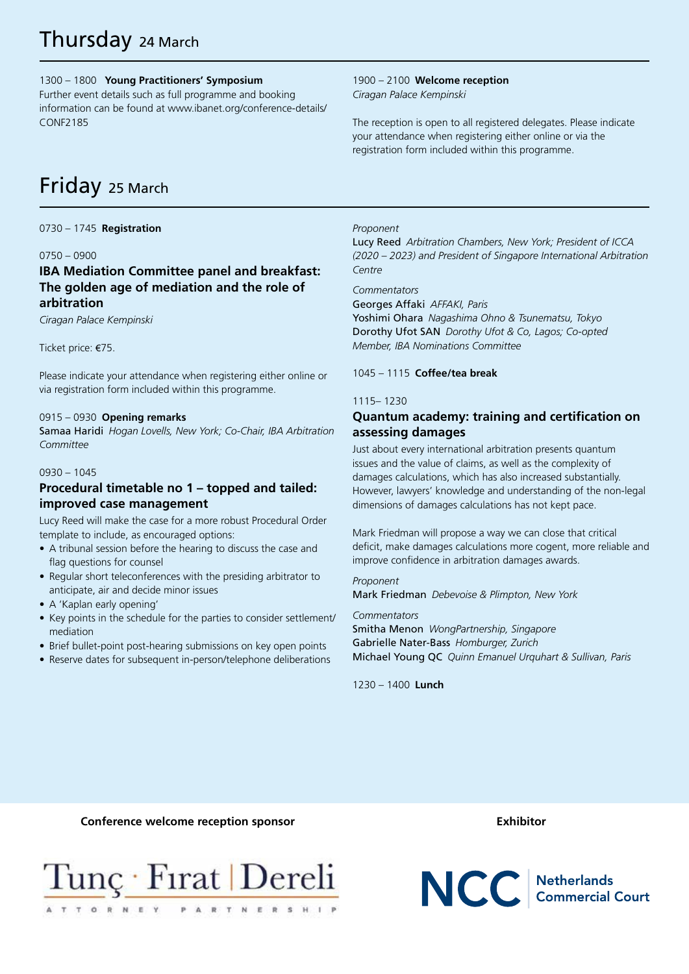# Thursday 24 March

1300 – 1800 **Young Practitioners' Symposium**

Further event details such as full programme and booking information can be found at www.ibanet.org/conference-details/ CONF2185

#### 1900 – 2100 **Welcome reception**  *Ciragan Palace Kempinski*

The reception is open to all registered delegates. Please indicate your attendance when registering either online or via the registration form included within this programme.

# Friday 25 March

0730 – 1745 **Registration** 

### 0750 – 0900

## **IBA Mediation Committee panel and breakfast: The golden age of mediation and the role of arbitration**

*Ciragan Palace Kempinski* 

Ticket price: €75.

Please indicate your attendance when registering either online or via registration form included within this programme.

### 0915 – 0930 **Opening remarks**

Samaa Haridi *Hogan Lovells, New York; Co-Chair, IBA Arbitration Committee* 

#### 0930 – 1045

## **Procedural timetable no 1 – topped and tailed: improved case management**

Lucy Reed will make the case for a more robust Procedural Order template to include, as encouraged options:

- A tribunal session before the hearing to discuss the case and flag questions for counsel
- Regular short teleconferences with the presiding arbitrator to anticipate, air and decide minor issues
- A 'Kaplan early opening'
- Key points in the schedule for the parties to consider settlement/ mediation
- Brief bullet-point post-hearing submissions on key open points
- Reserve dates for subsequent in-person/telephone deliberations

#### *Proponent*

Lucy Reed *Arbitration Chambers, New York; President of ICCA (2020 – 2023) and President of Singapore International Arbitration Centre* 

*Commentators* 

Georges Affaki *AFFAKI, Paris*  Yoshimi Ohara *Nagashima Ohno & Tsunematsu, Tokyo*  Dorothy Ufot SAN *Dorothy Ufot & Co, Lagos; Co-opted Member, IBA Nominations Committee* 

1045 – 1115 **Coffee/tea break** 

#### 1115– 1230

# **Quantum academy: training and certification on assessing damages**

Just about every international arbitration presents quantum issues and the value of claims, as well as the complexity of damages calculations, which has also increased substantially. However, lawyers' knowledge and understanding of the non-legal dimensions of damages calculations has not kept pace.

Mark Friedman will propose a way we can close that critical deficit, make damages calculations more cogent, more reliable and improve confidence in arbitration damages awards.

*Proponent* 

Mark Friedman *Debevoise & Plimpton, New York* 

#### *Commentators*

Smitha Menon *WongPartnership, Singapore* Gabrielle Nater-Bass *Homburger, Zurich* Michael Young QC *Quinn Emanuel Urquhart & Sullivan, Paris* 

1230 – 1400 **Lunch** 

#### **Conference welcome reception sponsor Exhibitor**



NCC Netherlands<br>Commercial Court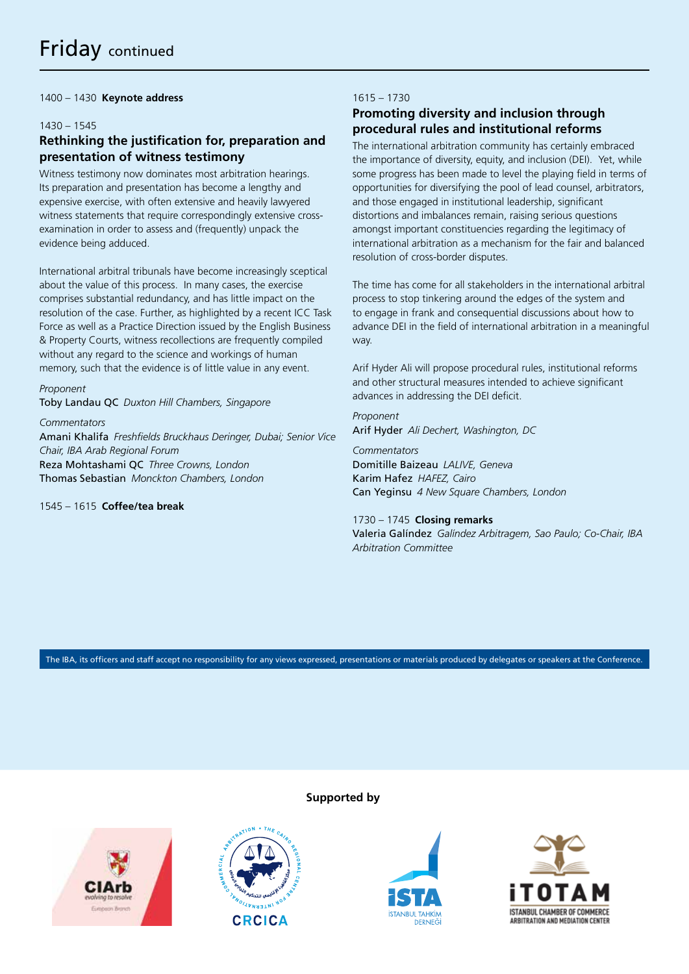1400 – 1430 **Keynote address** 

#### 1430 – 1545

## **Rethinking the justification for, preparation and presentation of witness testimony**

Witness testimony now dominates most arbitration hearings. Its preparation and presentation has become a lengthy and expensive exercise, with often extensive and heavily lawyered witness statements that require correspondingly extensive crossexamination in order to assess and (frequently) unpack the evidence being adduced.

International arbitral tribunals have become increasingly sceptical about the value of this process. In many cases, the exercise comprises substantial redundancy, and has little impact on the resolution of the case. Further, as highlighted by a recent ICC Task Force as well as a Practice Direction issued by the English Business & Property Courts, witness recollections are frequently compiled without any regard to the science and workings of human memory, such that the evidence is of little value in any event.

*Proponent* 

Toby Landau QC *Duxton Hill Chambers, Singapore* 

*Commentators*  Amani Khalifa *Freshfields Bruckhaus Deringer, Dubai; Senior Vice Chair, IBA Arab Regional Forum*  Reza Mohtashami QC *Three Crowns, London* Thomas Sebastian *Monckton Chambers, London*

1545 – 1615 **Coffee/tea break** 

### 1615 – 1730

# **Promoting diversity and inclusion through procedural rules and institutional reforms**

The international arbitration community has certainly embraced the importance of diversity, equity, and inclusion (DEI). Yet, while some progress has been made to level the playing field in terms of opportunities for diversifying the pool of lead counsel, arbitrators, and those engaged in institutional leadership, significant distortions and imbalances remain, raising serious questions amongst important constituencies regarding the legitimacy of international arbitration as a mechanism for the fair and balanced resolution of cross-border disputes.

The time has come for all stakeholders in the international arbitral process to stop tinkering around the edges of the system and to engage in frank and consequential discussions about how to advance DEI in the field of international arbitration in a meaningful way.

Arif Hyder Ali will propose procedural rules, institutional reforms and other structural measures intended to achieve significant advances in addressing the DEI deficit.

*Proponent*  Arif Hyder *Ali Dechert, Washington, DC* 

*Commentators* Domitille Baizeau *LALIVE, Geneva*  Karim Hafez *HAFEZ, Cairo*  Can Yeginsu *4 New Square Chambers, London*

#### 1730 – 1745 **Closing remarks**

Valeria Galíndez *Galíndez Arbitragem, Sao Paulo; Co-Chair, IBA Arbitration Committee*

The IBA, its officers and staff accept no responsibility for any views expressed, presentations or materials produced by delegates or speakers at the Conference.

**Supported by**







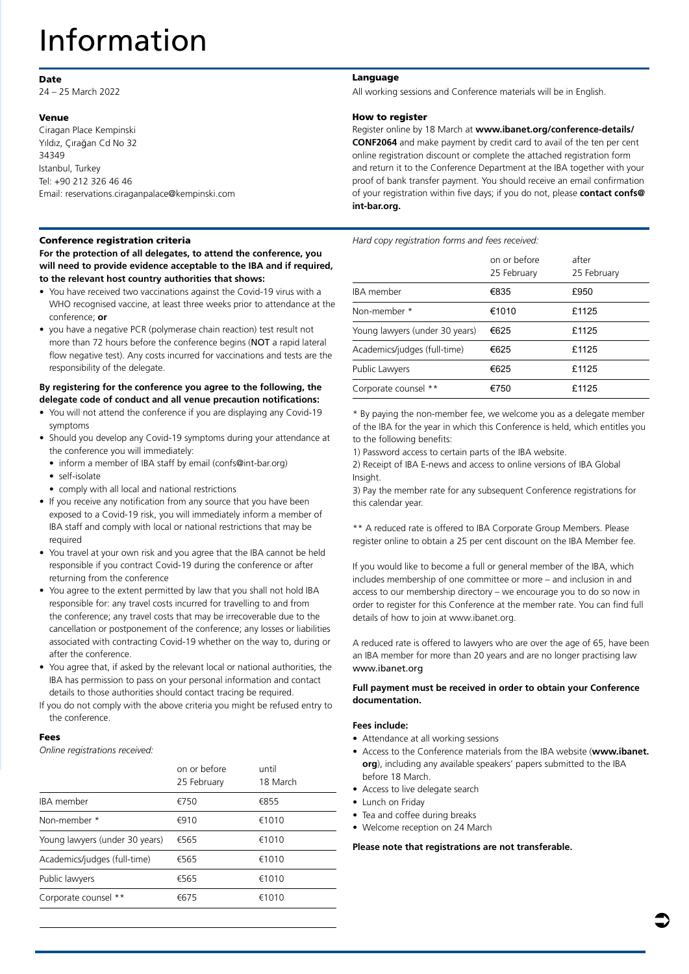# Information

#### Date

24 – 25 March 2022

#### Venue

Ciragan Place Kempinski Yıldız, Çırağan Cd No 32 34349 Istanbul, Turkey Tel: +90 212 326 46 46 Email: reservations.ciraganpalace@kempinski.com

#### Conference registration criteria

**For the protection of all delegates, to attend the conference, you will need to provide evidence acceptable to the IBA and if required, to the relevant host country authorities that shows:** 

- You have received two vaccinations against the Covid-19 virus with a WHO recognised vaccine, at least three weeks prior to attendance at the conference; **or**
- you have a negative PCR (polymerase chain reaction) test result not more than 72 hours before the conference begins (NOT a rapid lateral flow negative test). Any costs incurred for vaccinations and tests are the responsibility of the delegate.

#### **By registering for the conference you agree to the following, the delegate code of conduct and all venue precaution notifications:**

- You will not attend the conference if you are displaying any Covid-19 symptoms
- Should you develop any Covid-19 symptoms during your attendance at the conference you will immediately:
	- inform a member of IBA staff by email (confs@int-bar.org)
	- self-isolate
- comply with all local and national restrictions
- If you receive any notification from any source that you have been exposed to a Covid-19 risk, you will immediately inform a member of IBA staff and comply with local or national restrictions that may be required
- You travel at your own risk and you agree that the IBA cannot be held responsible if you contract Covid-19 during the conference or after returning from the conference
- You agree to the extent permitted by law that you shall not hold IBA responsible for: any travel costs incurred for travelling to and from the conference; any travel costs that may be irrecoverable due to the cancellation or postponement of the conference; any losses or liabilities associated with contracting Covid-19 whether on the way to, during or after the conference.
- You agree that, if asked by the relevant local or national authorities, the IBA has permission to pass on your personal information and contact details to those authorities should contact tracing be required.
- If you do not comply with the above criteria you might be refused entry to the conference.

#### Fees

*Online registrations received:*

| on or before<br>25 February | until<br>18 March |
|-----------------------------|-------------------|
| €750                        | €855              |
| €910                        | €1010             |
| €565                        | €1010             |
| €565                        | €1010             |
| €565                        | €1010             |
| €675                        | €1010             |
|                             |                   |

#### Language

All working sessions and Conference materials will be in English.

#### How to register

Register online by 18 March at **www.ibanet.org/conference-details/ CONF2064** and make payment by credit card to avail of the ten per cent online registration discount or complete the attached registration form and return it to the Conference Department at the IBA together with your proof of bank transfer payment. You should receive an email confirmation of your registration within five days; if you do not, please **contact confs@ int-bar.org.**

*Hard copy registration forms and fees received:*

|                                | on or before<br>25 February | after<br>25 February |
|--------------------------------|-----------------------------|----------------------|
| IBA member                     | €835                        | £950                 |
| Non-member *                   | €1010                       | £1125                |
| Young lawyers (under 30 years) | €625                        | £1125                |
| Academics/judges (full-time)   | €625                        | £1125                |
| Public Lawyers                 | €625                        | £1125                |
| Corporate counsel **           | €750                        | £1125                |

\* By paying the non-member fee, we welcome you as a delegate member of the IBA for the year in which this Conference is held, which entitles you to the following benefits:

1) Password access to certain parts of the IBA website.

2) Receipt of IBA E-news and access to online versions of IBA Global Insight.

3) Pay the member rate for any subsequent Conference registrations for this calendar year.

\*\* A reduced rate is offered to IBA Corporate Group Members. Please register online to obtain a 25 per cent discount on the IBA Member fee.

If you would like to become a full or general member of the IBA, which includes membership of one committee or more – and inclusion in and access to our membership directory – we encourage you to do so now in order to register for this Conference at the member rate. You can find full details of how to join at www.ibanet.org.

A reduced rate is offered to lawyers who are over the age of 65, have been an IBA member for more than 20 years and are no longer practising law www.ibanet.org

#### **Full payment must be received in order to obtain your Conference documentation.**

#### **Fees include:**

- Attendance at all working sessions
- Access to the Conference materials from the IBA website (**[www.ibanet.](http://www.ibanet.org) [org](http://www.ibanet.org)**), including any available speakers' papers submitted to the IBA before 18 March.
- Access to live delegate search
- Lunch on Friday
- Tea and coffee during breaks
- Welcome reception on 24 March

#### **Please note that registrations are not transferable.**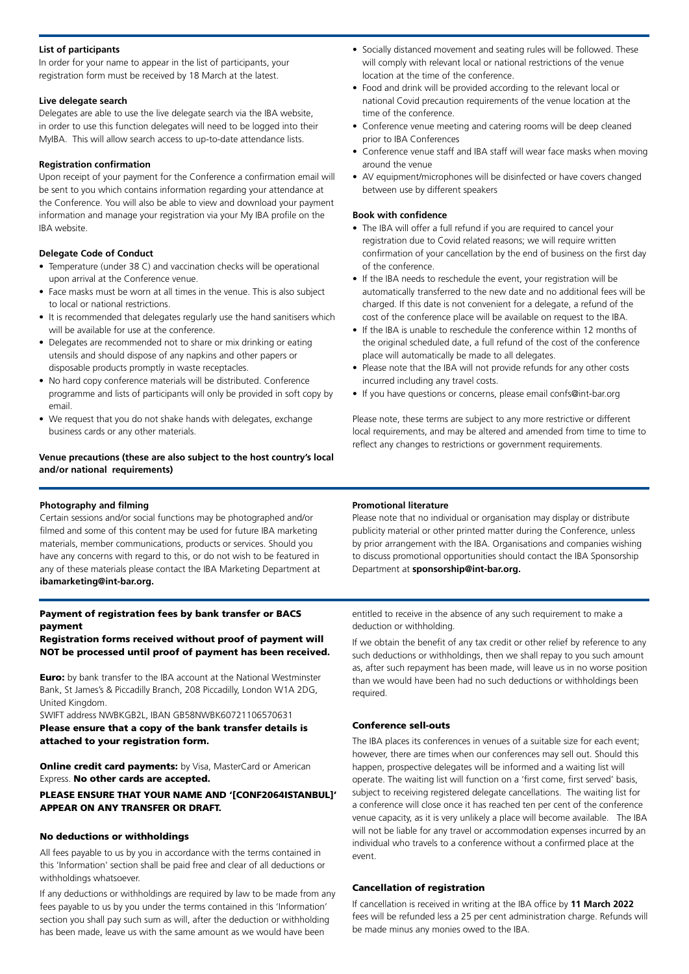#### **List of participants**

In order for your name to appear in the list of participants, your registration form must be received by 18 March at the latest.

#### **Live delegate search**

Delegates are able to use the live delegate search via the IBA website, in order to use this function delegates will need to be logged into their MyIBA. This will allow search access to up-to-date attendance lists.

#### **Registration confirmation**

Upon receipt of your payment for the Conference a confirmation email will be sent to you which contains information regarding your attendance at the Conference. You will also be able to view and download your payment information and manage your registration via your My IBA profile on the IBA website.

#### **Delegate Code of Conduct**

- Temperature (under 38 C) and vaccination checks will be operational upon arrival at the Conference venue.
- Face masks must be worn at all times in the venue. This is also subject to local or national restrictions.
- It is recommended that delegates regularly use the hand sanitisers which will be available for use at the conference.
- Delegates are recommended not to share or mix drinking or eating utensils and should dispose of any napkins and other papers or disposable products promptly in waste receptacles.
- No hard copy conference materials will be distributed. Conference programme and lists of participants will only be provided in soft copy by email.
- We request that you do not shake hands with delegates, exchange business cards or any other materials.

#### **Venue precautions (these are also subject to the host country's local and/or national requirements)**

#### **Photography and filming**

Certain sessions and/or social functions may be photographed and/or filmed and some of this content may be used for future IBA marketing materials, member communications, products or services. Should you have any concerns with regard to this, or do not wish to be featured in any of these materials please contact the IBA Marketing Department at **ibamarketing@int-bar.org.**

#### Payment of registration fees by bank transfer or BACS payment

#### Registration forms received without proof of payment will NOT be processed until proof of payment has been received.

**Euro:** by bank transfer to the IBA account at the National Westminster Bank, St James's & Piccadilly Branch, 208 Piccadilly, London W1A 2DG, United Kingdom.

SWIFT address NWBKGB2L, IBAN GB58NWBK60721106570631 Please ensure that a copy of the bank transfer details is attached to your registration form.

**Online credit card payments:** by Visa, MasterCard or American Express. No other cards are accepted.

#### PLEASE ENSURE THAT YOUR NAME AND '[CONF2064ISTANBUL]' APPEAR ON ANY TRANSFER OR DRAFT.

#### No deductions or withholdings

All fees payable to us by you in accordance with the terms contained in this 'Information' section shall be paid free and clear of all deductions or withholdings whatsoever.

If any deductions or withholdings are required by law to be made from any fees payable to us by you under the terms contained in this 'Information' section you shall pay such sum as will, after the deduction or withholding has been made, leave us with the same amount as we would have been

- Socially distanced movement and seating rules will be followed. These will comply with relevant local or national restrictions of the venue location at the time of the conference.
- Food and drink will be provided according to the relevant local or national Covid precaution requirements of the venue location at the time of the conference.
- Conference venue meeting and catering rooms will be deep cleaned prior to IBA Conferences
- Conference venue staff and IBA staff will wear face masks when moving around the venue
- AV equipment/microphones will be disinfected or have covers changed between use by different speakers

#### **Book with confidence**

- The IBA will offer a full refund if you are required to cancel your registration due to Covid related reasons; we will require written confirmation of your cancellation by the end of business on the first day of the conference.
- If the IBA needs to reschedule the event, your registration will be automatically transferred to the new date and no additional fees will be charged. If this date is not convenient for a delegate, a refund of the cost of the conference place will be available on request to the IBA.
- If the IBA is unable to reschedule the conference within 12 months of the original scheduled date, a full refund of the cost of the conference place will automatically be made to all delegates.
- Please note that the IBA will not provide refunds for any other costs incurred including any travel costs.
- If you have questions or concerns, please email confs@int-bar.org

Please note, these terms are subject to any more restrictive or different local requirements, and may be altered and amended from time to time to reflect any changes to restrictions or government requirements.

#### **Promotional literature**

Please note that no individual or organisation may display or distribute publicity material or other printed matter during the Conference, unless by prior arrangement with the IBA. Organisations and companies wishing to discuss promotional opportunities should contact the IBA Sponsorship Department at **sponsorship@int-bar.org.**

entitled to receive in the absence of any such requirement to make a deduction or withholding.

If we obtain the benefit of any tax credit or other relief by reference to any such deductions or withholdings, then we shall repay to you such amount as, after such repayment has been made, will leave us in no worse position than we would have been had no such deductions or withholdings been required.

#### Conference sell-outs

The IBA places its conferences in venues of a suitable size for each event; however, there are times when our conferences may sell out. Should this happen, prospective delegates will be informed and a waiting list will operate. The waiting list will function on a 'first come, first served' basis, subject to receiving registered delegate cancellations. The waiting list for a conference will close once it has reached ten per cent of the conference venue capacity, as it is very unlikely a place will become available. The IBA will not be liable for any travel or accommodation expenses incurred by an individual who travels to a conference without a confirmed place at the event.

#### Cancellation of registration

If cancellation is received in writing at the IBA office by **11 March 2022**  fees will be refunded less a 25 per cent administration charge. Refunds will be made minus any monies owed to the IBA.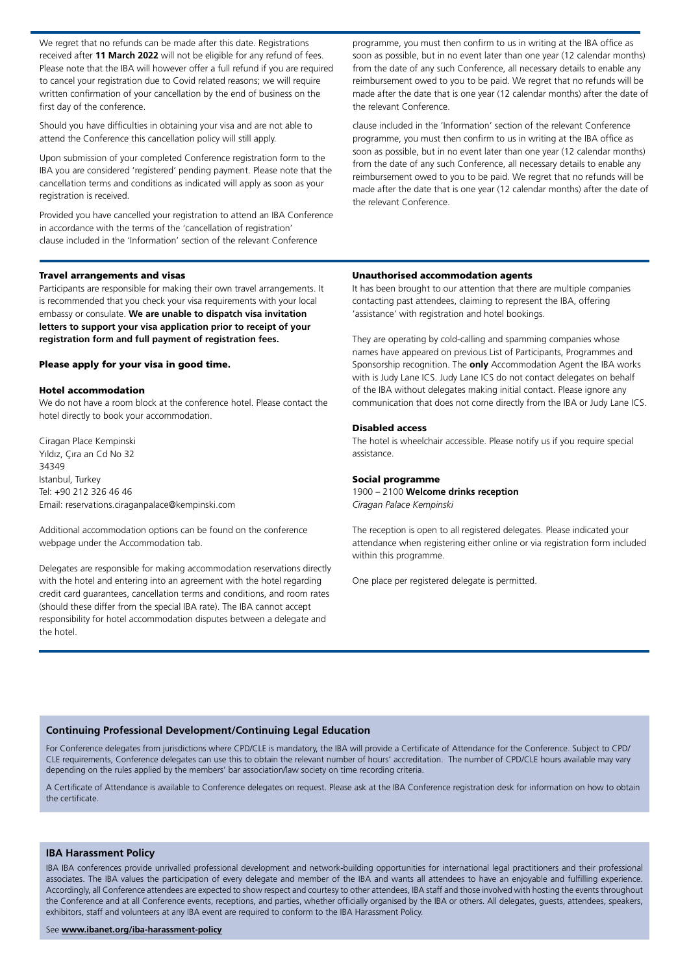We regret that no refunds can be made after this date. Registrations received after **11 March 2022** will not be eligible for any refund of fees. Please note that the IBA will however offer a full refund if you are required to cancel your registration due to Covid related reasons; we will require written confirmation of your cancellation by the end of business on the first day of the conference.

Should you have difficulties in obtaining your visa and are not able to attend the Conference this cancellation policy will still apply.

Upon submission of your completed Conference registration form to the IBA you are considered 'registered' pending payment. Please note that the cancellation terms and conditions as indicated will apply as soon as your registration is received.

Provided you have cancelled your registration to attend an IBA Conference in accordance with the terms of the 'cancellation of registration' clause included in the 'Information' section of the relevant Conference

#### Travel arrangements and visas

Participants are responsible for making their own travel arrangements. It is recommended that you check your visa requirements with your local embassy or consulate. **We are unable to dispatch visa invitation letters to support your visa application prior to receipt of your registration form and full payment of registration fees.** 

#### Please apply for your visa in good time.

#### Hotel accommodation

We do not have a room block at the conference hotel. Please contact the hotel directly to book your accommodation.

Ciragan Place Kempinski Yıldız, Çıra an Cd No 32 34349 Istanbul, Turkey Tel: +90 212 326 46 46 Email: reservations.ciraganpalace@kempinski.com

Additional accommodation options can be found on the conference webpage under the Accommodation tab.

Delegates are responsible for making accommodation reservations directly with the hotel and entering into an agreement with the hotel regarding credit card guarantees, cancellation terms and conditions, and room rates (should these differ from the special IBA rate). The IBA cannot accept responsibility for hotel accommodation disputes between a delegate and the hotel.

programme, you must then confirm to us in writing at the IBA office as soon as possible, but in no event later than one year (12 calendar months) from the date of any such Conference, all necessary details to enable any reimbursement owed to you to be paid. We regret that no refunds will be made after the date that is one year (12 calendar months) after the date of the relevant Conference.

clause included in the 'Information' section of the relevant Conference programme, you must then confirm to us in writing at the IBA office as soon as possible, but in no event later than one year (12 calendar months) from the date of any such Conference, all necessary details to enable any reimbursement owed to you to be paid. We regret that no refunds will be made after the date that is one year (12 calendar months) after the date of the relevant Conference.

#### Unauthorised accommodation agents

It has been brought to our attention that there are multiple companies contacting past attendees, claiming to represent the IBA, offering 'assistance' with registration and hotel bookings.

They are operating by cold-calling and spamming companies whose names have appeared on previous List of Participants, Programmes and Sponsorship recognition. The **only** Accommodation Agent the IBA works with is Judy Lane ICS. Judy Lane ICS do not contact delegates on behalf of the IBA without delegates making initial contact. Please ignore any communication that does not come directly from the IBA or Judy Lane ICS.

#### Disabled access

The hotel is wheelchair accessible. Please notify us if you require special assistance.

#### Social programme

1900 – 2100 **Welcome drinks reception**  *Ciragan Palace Kempinski*

The reception is open to all registered delegates. Please indicated your attendance when registering either online or via registration form included within this programme.

One place per registered delegate is permitted.

#### **Continuing Professional Development/Continuing Legal Education**

For Conference delegates from jurisdictions where CPD/CLE is mandatory, the IBA will provide a Certificate of Attendance for the Conference. Subject to CPD/ CLE requirements, Conference delegates can use this to obtain the relevant number of hours' accreditation. The number of CPD/CLE hours available may vary depending on the rules applied by the members' bar association/law society on time recording criteria.

A Certificate of Attendance is available to Conference delegates on request. Please ask at the IBA Conference registration desk for information on how to obtain the certificate.

#### **IBA Harassment Policy**

IBA IBA conferences provide unrivalled professional development and network-building opportunities for international legal practitioners and their professional associates. The IBA values the participation of every delegate and member of the IBA and wants all attendees to have an enjoyable and fulfilling experience. Accordingly, all Conference attendees are expected to show respect and courtesy to other attendees, IBA staff and those involved with hosting the events throughout the Conference and at all Conference events, receptions, and parties, whether officially organised by the IBA or others. All delegates, guests, attendees, speakers, exhibitors, staff and volunteers at any IBA event are required to conform to the IBA Harassment Policy.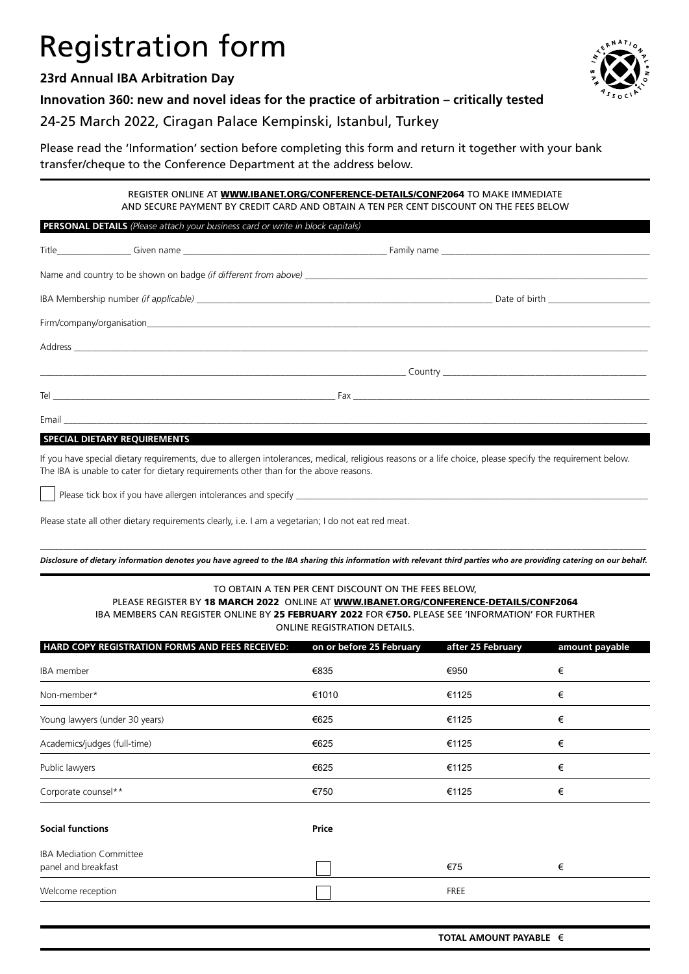# Registration form

# **23rd Annual IBA Arbitration Day**



**Innovation 360: new and novel ideas for the practice of arbitration – critically tested**

# 24-25 March 2022, Ciragan Palace Kempinski, Istanbul, Turkey

Please read the 'Information' section before completing this form and return it together with your bank transfer/cheque to the Conference Department at the address below.

> REGISTER ONLINE AT **[WWW.IBANET.ORG/CONFERENCE-DETAILS/CONF2](https://www.ibanet.org/conference-details/CONF2069)064** TO MAKE IMMEDIATE AND SECURE PAYMENT BY CREDIT CARD AND OBTAIN A TEN PER CENT DISCOUNT ON THE FEES BELOW

#### **PERSONAL DETAILS** *(Please attach your business card or write in block capitals)*

|  |  | Date of birth ________________________ |  |
|--|--|----------------------------------------|--|
|  |  |                                        |  |
|  |  |                                        |  |
|  |  |                                        |  |
|  |  |                                        |  |
|  |  |                                        |  |

#### **SPECIAL DIETARY REQUIREMENTS**

If you have special dietary requirements, due to allergen intolerances, medical, religious reasons or a life choice, please specify the requirement below. The IBA is unable to cater for dietary requirements other than for the above reasons.

Please tick box if you have allergen intolerances and specify

Please state all other dietary requirements clearly, i.e. I am a vegetarian; I do not eat red meat.

\_\_\_\_\_\_\_\_\_\_\_\_\_\_\_\_\_\_\_\_\_\_\_\_\_\_\_\_\_\_\_\_\_\_\_\_\_\_\_\_\_\_\_\_\_\_\_\_\_\_\_\_\_\_\_\_\_\_\_\_\_\_\_\_\_\_\_\_\_\_\_\_\_\_\_\_\_\_\_\_\_\_\_\_\_\_\_\_\_\_\_\_\_\_\_\_\_\_\_\_\_\_\_\_\_\_\_\_\_\_\_\_\_\_\_\_\_\_\_\_\_\_\_\_\_\_\_\_\_\_\_ *Disclosure of dietary information denotes you have agreed to the IBA sharing this information with relevant third parties who are providing catering on our behalf.*

#### TO OBTAIN A TEN PER CENT DISCOUNT ON THE FEES BELOW, PLEASE REGISTER BY 18 MARCH 2022 ONLINE AT [WWW.IBANET.ORG/CONFERENCE-DETAILS/CON](https://www.ibanet.org/conference-details/CONF2069)F2064 IBA MEMBERS CAN REGISTER ONLINE BY 25 FEBRUARY 2022 FOR €750. PLEASE SEE 'INFORMATION' FOR FURTHER ONLINE REGISTRATION DETAILS.

| HARD COPY REGISTRATION FORMS AND FEES RECEIVED:       | on or before 25 February | after 25 February | amount payable |
|-------------------------------------------------------|--------------------------|-------------------|----------------|
| IBA member                                            | €835                     | €950              | €              |
| Non-member*                                           | €1010                    | €1125             | €              |
| Young lawyers (under 30 years)                        | €625                     | €1125             | €              |
| Academics/judges (full-time)                          | €625                     | €1125             | €              |
| Public lawyers                                        | €625                     | €1125             | €              |
| Corporate counsel**                                   | €750                     | €1125             | €              |
| <b>Social functions</b>                               | Price                    |                   |                |
| <b>IBA Mediation Committee</b><br>panel and breakfast |                          | €75               | €              |
| Welcome reception                                     |                          | <b>FREE</b>       |                |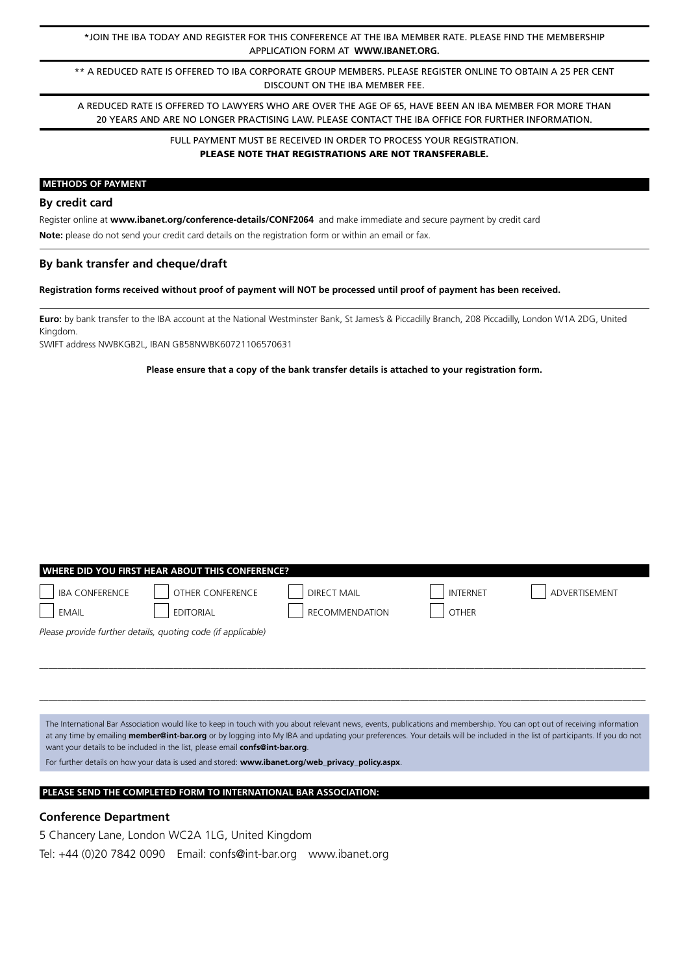\*JOIN THE IBA TODAY AND REGISTER FOR THIS CONFERENCE AT THE IBA MEMBER RATE. PLEASE FIND THE MEMBERSHIP APPLICATION FORM AT **[WWW.IBANET.ORG.](http://www.ibanet.org)**

\*\* A REDUCED RATE IS OFFERED TO IBA CORPORATE GROUP MEMBERS. PLEASE REGISTER ONLINE TO OBTAIN A 25 PER CENT DISCOUNT ON THE IBA MEMBER FEE.

A REDUCED RATE IS OFFERED TO LAWYERS WHO ARE OVER THE AGE OF 65, HAVE BEEN AN IBA MEMBER FOR MORE THAN 20 YEARS AND ARE NO LONGER PRACTISING LAW. PLEASE CONTACT THE IBA OFFICE FOR FURTHER INFORMATION.

#### FULL PAYMENT MUST BE RECEIVED IN ORDER TO PROCESS YOUR REGISTRATION. PLEASE NOTE THAT REGISTRATIONS ARE NOT TRANSFERABLE.

#### **METHODS OF PAYMENT**

#### **By credit card**

Register online at **[www.ibanet.org/conference-details/CONF2064](http://www.ibanet.org/conference-details/CONF2064)** and make immediate and secure payment by credit card **Note:** please do not send your credit card details on the registration form or within an email or fax.

#### **By bank transfer and cheque/draft**

**Registration forms received without proof of payment will NOT be processed until proof of payment has been received.**

**Euro:** by bank transfer to the IBA account at the National Westminster Bank, St James's & Piccadilly Branch, 208 Piccadilly, London W1A 2DG, United Kingdom.

SWIFT address NWBKGB2L, IBAN GB58NWBK60721106570631

#### **Please ensure that a copy of the bank transfer details is attached to your registration form.**

| WHERE DID YOU FIRST HEAR ABOUT THIS CONFERENCE? |                                                              |                       |                 |               |  |  |
|-------------------------------------------------|--------------------------------------------------------------|-----------------------|-----------------|---------------|--|--|
| <b>IBA CONFERENCE</b>                           | OTHER CONFERENCE                                             | <b>DIRECT MAIL</b>    | <b>INTERNET</b> | ADVERTISEMENT |  |  |
| <b>EMAIL</b>                                    | <b>EDITORIAL</b>                                             | <b>RECOMMENDATION</b> | OTHER           |               |  |  |
|                                                 | Please provide further details, quoting code (if applicable) |                       |                 |               |  |  |

*\_\_\_\_\_\_\_\_\_\_\_\_\_\_\_\_\_\_\_\_\_\_\_\_\_\_\_\_\_\_\_\_\_\_\_\_\_\_\_\_\_\_\_\_\_\_\_\_\_\_\_\_\_\_\_\_\_\_\_\_\_\_\_\_\_\_\_\_\_\_\_\_\_\_\_\_\_\_\_\_\_\_\_\_\_\_\_\_\_\_\_\_\_\_\_\_\_\_\_\_\_\_\_\_\_\_\_\_\_\_\_\_\_\_\_\_\_\_\_\_\_\_\_\_\_\_\_\_\_\_\_*

*\_\_\_\_\_\_\_\_\_\_\_\_\_\_\_\_\_\_\_\_\_\_\_\_\_\_\_\_\_\_\_\_\_\_\_\_\_\_\_\_\_\_\_\_\_\_\_\_\_\_\_\_\_\_\_\_\_\_\_\_\_\_\_\_\_\_\_\_\_\_\_\_\_\_\_\_\_\_\_\_\_\_\_\_\_\_\_\_\_\_\_\_\_\_\_\_\_\_\_\_\_\_\_\_\_\_\_\_\_\_\_\_\_\_\_\_\_\_\_\_\_\_\_\_\_\_\_\_\_\_\_*

The International Bar Association would like to keep in touch with you about relevant news, events, publications and membership. You can opt out of receiving information at any time by emailing **member@int-bar.org** or by logging into My IBA and updating your preferences. Your details will be included in the list of participants. If you do not want your details to be included in the list, please email **confs@int-bar.org**.

For further details on how your data is used and stored: **[www.ibanet.org/web\\_privacy\\_policy.aspx](http://www.ibanet.org/web_privacy_policy.aspx)**.

#### **PLEASE SEND THE COMPLETED FORM TO INTERNATIONAL BAR ASSOCIATION:**

#### **Conference Department**

5 Chancery Lane, London WC2A 1LG, United Kingdom Tel: +44 (0)20 7842 0090 Email: confs@int-bar.org [www.ibanet.org](http://www.ibanet.org)